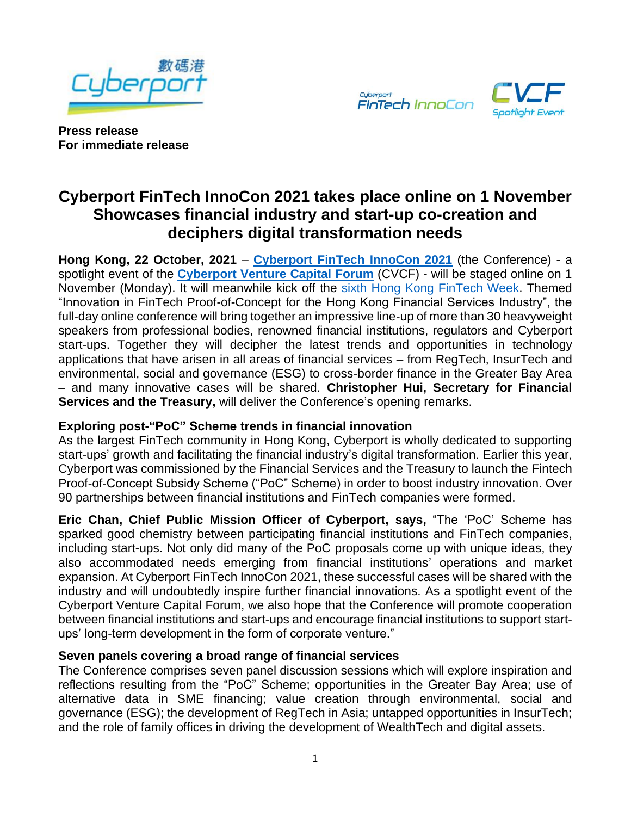





**Press release For immediate release**

# **Cyberport FinTech InnoCon 2021 takes place online on 1 November Showcases financial industry and start-up co-creation and deciphers digital transformation needs**

**Hong Kong, 22 October, 2021** – **[Cyberport FinTech InnoCon 2021](https://cvcf.cyberport.hk/en/fintech)** (the Conference) - a spotlight event of the **[Cyberport Venture Capital Forum](https://cvcf.cyberport.hk/en/index)** (CVCF) - will be staged online on 1 November (Monday). It will meanwhile kick off the [sixth Hong Kong FinTech Week.](https://www.fintechweek.hk/) Themed "Innovation in FinTech Proof-of-Concept for the Hong Kong Financial Services Industry", the full-day online conference will bring together an impressive line-up of more than 30 heavyweight speakers from professional bodies, renowned financial institutions, regulators and Cyberport start-ups. Together they will decipher the latest trends and opportunities in technology applications that have arisen in all areas of financial services – from RegTech, InsurTech and environmental, social and governance (ESG) to cross-border finance in the Greater Bay Area – and many innovative cases will be shared. **Christopher Hui, Secretary for Financial Services and the Treasury,** will deliver the Conference's opening remarks.

## **Exploring post-"PoC" Scheme trends in financial innovation**

As the largest FinTech community in Hong Kong, Cyberport is wholly dedicated to supporting start-ups' growth and facilitating the financial industry's digital transformation. Earlier this year, Cyberport was commissioned by the Financial Services and the Treasury to launch the Fintech Proof-of-Concept Subsidy Scheme ("PoC" Scheme) in order to boost industry innovation. Over 90 partnerships between financial institutions and FinTech companies were formed.

**Eric Chan, Chief Public Mission Officer of Cyberport, says,** "The 'PoC' Scheme has sparked good chemistry between participating financial institutions and FinTech companies, including start-ups. Not only did many of the PoC proposals come up with unique ideas, they also accommodated needs emerging from financial institutions' operations and market expansion. At Cyberport FinTech InnoCon 2021, these successful cases will be shared with the industry and will undoubtedly inspire further financial innovations. As a spotlight event of the Cyberport Venture Capital Forum, we also hope that the Conference will promote cooperation between financial institutions and start-ups and encourage financial institutions to support startups' long-term development in the form of corporate venture."

## **Seven panels covering a broad range of financial services**

The Conference comprises seven panel discussion sessions which will explore inspiration and reflections resulting from the "PoC" Scheme; opportunities in the Greater Bay Area; use of alternative data in SME financing; value creation through environmental, social and governance (ESG); the development of RegTech in Asia; untapped opportunities in InsurTech; and the role of family offices in driving the development of WealthTech and digital assets.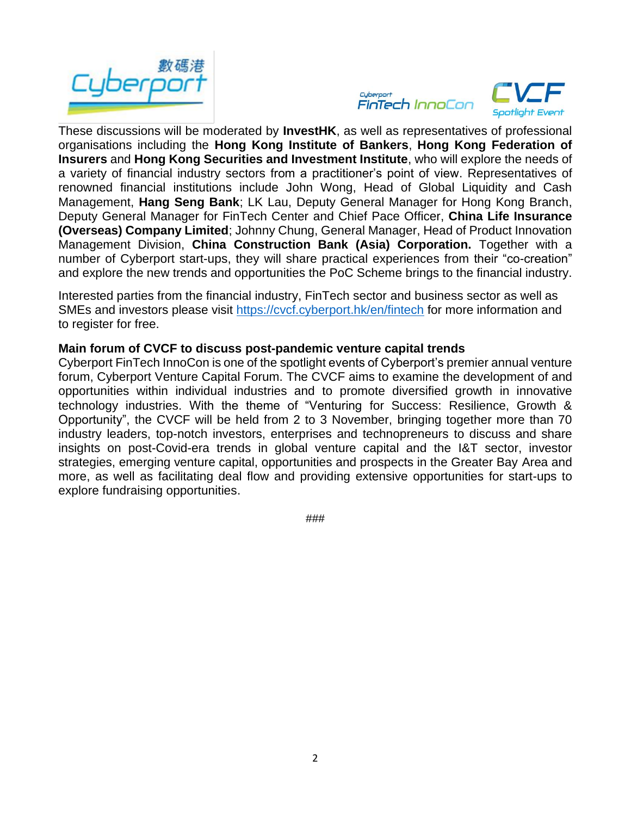





These discussions will be moderated by **InvestHK**, as well as representatives of professional organisations including the **Hong Kong Institute of Bankers**, **Hong Kong Federation of Insurers** and **Hong Kong Securities and Investment Institute**, who will explore the needs of a variety of financial industry sectors from a practitioner's point of view. Representatives of renowned financial institutions include John Wong, Head of Global Liquidity and Cash Management, **Hang Seng Bank**; LK Lau, Deputy General Manager for Hong Kong Branch, Deputy General Manager for FinTech Center and Chief Pace Officer, **China Life Insurance (Overseas) Company Limited**; Johnny Chung, General Manager, Head of Product Innovation Management Division, **China Construction Bank (Asia) Corporation.** Together with a number of Cyberport start-ups, they will share practical experiences from their "co-creation" and explore the new trends and opportunities the PoC Scheme brings to the financial industry.

Interested parties from the financial industry, FinTech sector and business sector as well as SMEs and investors please visit<https://cvcf.cyberport.hk/en/fintech> for more information and to register for free.

#### **Main forum of CVCF to discuss post-pandemic venture capital trends**

Cyberport FinTech InnoCon is one of the spotlight events of Cyberport's premier annual venture forum, Cyberport Venture Capital Forum. The CVCF aims to examine the development of and opportunities within individual industries and to promote diversified growth in innovative technology industries. With the theme of "Venturing for Success: Resilience, Growth & Opportunity", the CVCF will be held from 2 to 3 November, bringing together more than 70 industry leaders, top-notch investors, enterprises and technopreneurs to discuss and share insights on post-Covid-era trends in global venture capital and the I&T sector, investor strategies, emerging venture capital, opportunities and prospects in the Greater Bay Area and more, as well as facilitating deal flow and providing extensive opportunities for start-ups to explore fundraising opportunities.

###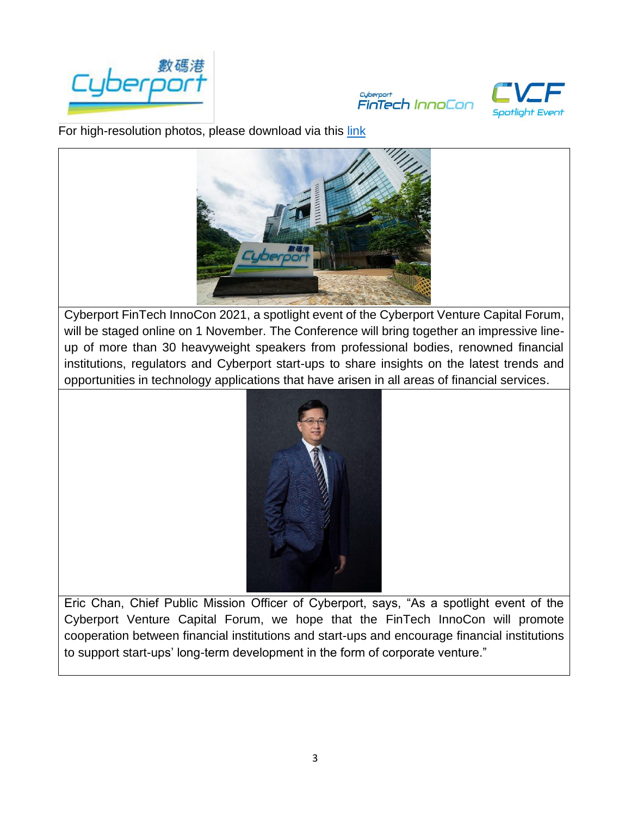





 For high-resolution photos, please download via this [link](https://drive.google.com/drive/folders/1dg6BDrPN2VZubfr5QrVvpdmnUfCziETv?usp=sharing)



Cyberport FinTech InnoCon 2021, a spotlight event of the Cyberport Venture Capital Forum, will be staged online on 1 November. The Conference will bring together an impressive lineup of more than 30 heavyweight speakers from professional bodies, renowned financial institutions, regulators and Cyberport start-ups to share insights on the latest trends and opportunities in technology applications that have arisen in all areas of financial services.



Eric Chan, Chief Public Mission Officer of Cyberport, says, "As a spotlight event of the Cyberport Venture Capital Forum, we hope that the FinTech InnoCon will promote cooperation between financial institutions and start-ups and encourage financial institutions to support start-ups' long-term development in the form of corporate venture."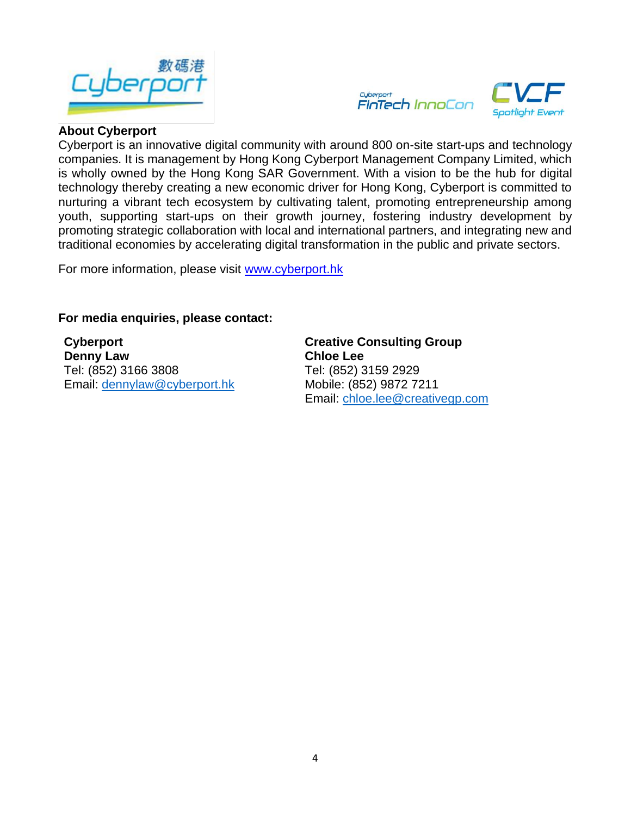





#### **About Cyberport**

Cyberport is an innovative digital community with around 800 on-site start-ups and technology companies. It is management by Hong Kong Cyberport Management Company Limited, which is wholly owned by the Hong Kong SAR Government. With a vision to be the hub for digital technology thereby creating a new economic driver for Hong Kong, Cyberport is committed to nurturing a vibrant tech ecosystem by cultivating talent, promoting entrepreneurship among youth, supporting start-ups on their growth journey, fostering industry development by promoting strategic collaboration with local and international partners, and integrating new and traditional economies by accelerating digital transformation in the public and private sectors.

For more information, please visit [www.cyberport.hk](http://www.cyberport.hk/) 

### **For media enquiries, please contact:**

**Cyberport Denny Law** Tel: (852) 3166 3808 Email: [dennylaw@cyberport.hk](mailto:dennylaw@cyberport.hk) **Creative Consulting Group Chloe Lee** Tel: (852) 3159 2929 Mobile: (852) 9872 7211 Email: [chloe.lee@creativegp.com](mailto:chloe.lee@creativegp.com)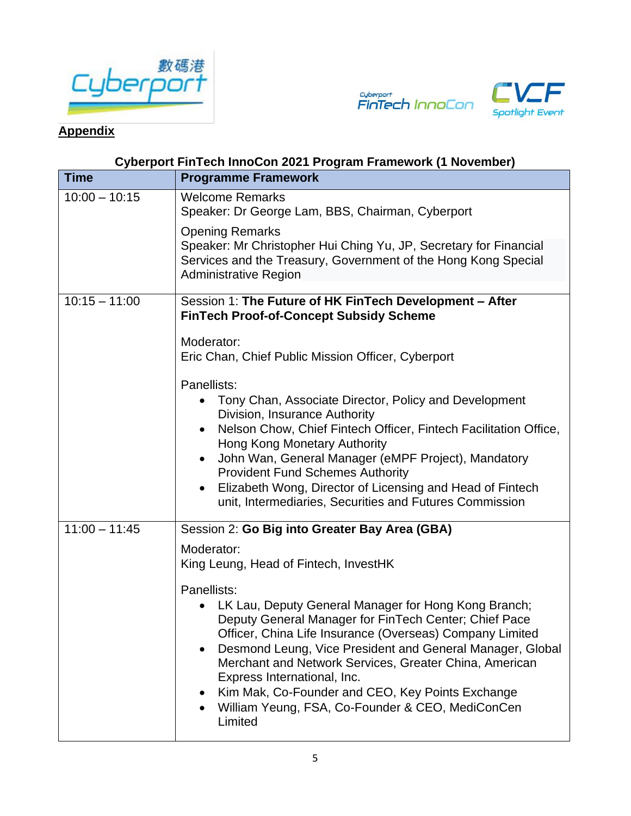





## **Appendix**

## **Cyberport FinTech InnoCon 2021 Program Framework (1 November)**

| <b>Time</b>     | <b>Programme Framework</b>                                                                                                                                                                                                                                                                                                                                                                                                                       |
|-----------------|--------------------------------------------------------------------------------------------------------------------------------------------------------------------------------------------------------------------------------------------------------------------------------------------------------------------------------------------------------------------------------------------------------------------------------------------------|
| $10:00 - 10:15$ | <b>Welcome Remarks</b><br>Speaker: Dr George Lam, BBS, Chairman, Cyberport                                                                                                                                                                                                                                                                                                                                                                       |
|                 | <b>Opening Remarks</b><br>Speaker: Mr Christopher Hui Ching Yu, JP, Secretary for Financial<br>Services and the Treasury, Government of the Hong Kong Special<br><b>Administrative Region</b>                                                                                                                                                                                                                                                    |
| $10:15 - 11:00$ | Session 1: The Future of HK FinTech Development - After<br><b>FinTech Proof-of-Concept Subsidy Scheme</b>                                                                                                                                                                                                                                                                                                                                        |
|                 | Moderator:<br>Eric Chan, Chief Public Mission Officer, Cyberport                                                                                                                                                                                                                                                                                                                                                                                 |
|                 | Panellists:<br>Tony Chan, Associate Director, Policy and Development<br>Division, Insurance Authority<br>Nelson Chow, Chief Fintech Officer, Fintech Facilitation Office,<br>Hong Kong Monetary Authority<br>John Wan, General Manager (eMPF Project), Mandatory<br><b>Provident Fund Schemes Authority</b><br>Elizabeth Wong, Director of Licensing and Head of Fintech<br>$\bullet$<br>unit, Intermediaries, Securities and Futures Commission |
| $11:00 - 11:45$ | Session 2: Go Big into Greater Bay Area (GBA)<br>Moderator:<br>King Leung, Head of Fintech, InvestHK<br>Panellists:<br>LK Lau, Deputy General Manager for Hong Kong Branch;                                                                                                                                                                                                                                                                      |
|                 | Deputy General Manager for FinTech Center; Chief Pace<br>Officer, China Life Insurance (Overseas) Company Limited<br>Desmond Leung, Vice President and General Manager, Global<br>$\bullet$<br>Merchant and Network Services, Greater China, American<br>Express International, Inc.<br>Kim Mak, Co-Founder and CEO, Key Points Exchange<br>William Yeung, FSA, Co-Founder & CEO, MediConCen                                                     |
|                 | Limited                                                                                                                                                                                                                                                                                                                                                                                                                                          |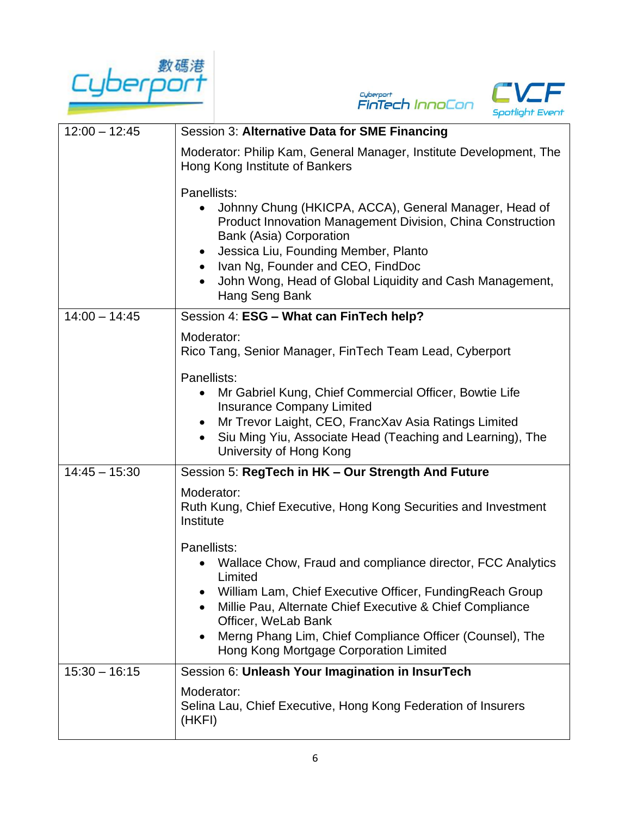





| $12:00 - 12:45$ | Session 3: Alternative Data for SME Financing                                                                                                                                                                                                                                                                                              |
|-----------------|--------------------------------------------------------------------------------------------------------------------------------------------------------------------------------------------------------------------------------------------------------------------------------------------------------------------------------------------|
|                 | Moderator: Philip Kam, General Manager, Institute Development, The<br>Hong Kong Institute of Bankers                                                                                                                                                                                                                                       |
|                 | Panellists:<br>Johnny Chung (HKICPA, ACCA), General Manager, Head of<br>Product Innovation Management Division, China Construction<br><b>Bank (Asia) Corporation</b><br>Jessica Liu, Founding Member, Planto<br>Ivan Ng, Founder and CEO, FindDoc<br>John Wong, Head of Global Liquidity and Cash Management,<br>Hang Seng Bank            |
| $14:00 - 14:45$ | Session 4: ESG - What can FinTech help?                                                                                                                                                                                                                                                                                                    |
|                 | Moderator:<br>Rico Tang, Senior Manager, FinTech Team Lead, Cyberport                                                                                                                                                                                                                                                                      |
|                 | Panellists:<br>Mr Gabriel Kung, Chief Commercial Officer, Bowtie Life<br><b>Insurance Company Limited</b><br>Mr Trevor Laight, CEO, FrancXav Asia Ratings Limited<br>Siu Ming Yiu, Associate Head (Teaching and Learning), The<br>University of Hong Kong                                                                                  |
| $14:45 - 15:30$ | Session 5: RegTech in HK - Our Strength And Future                                                                                                                                                                                                                                                                                         |
|                 | Moderator:<br>Ruth Kung, Chief Executive, Hong Kong Securities and Investment<br>Institute                                                                                                                                                                                                                                                 |
|                 | Panellists:<br>Wallace Chow, Fraud and compliance director, FCC Analytics<br>Limited<br>William Lam, Chief Executive Officer, Funding Reach Group<br>Millie Pau, Alternate Chief Executive & Chief Compliance<br>Officer, WeLab Bank<br>Merng Phang Lim, Chief Compliance Officer (Counsel), The<br>Hong Kong Mortgage Corporation Limited |
| $15:30 - 16:15$ | Session 6: Unleash Your Imagination in InsurTech                                                                                                                                                                                                                                                                                           |
|                 | Moderator:<br>Selina Lau, Chief Executive, Hong Kong Federation of Insurers<br>(HKFI)                                                                                                                                                                                                                                                      |